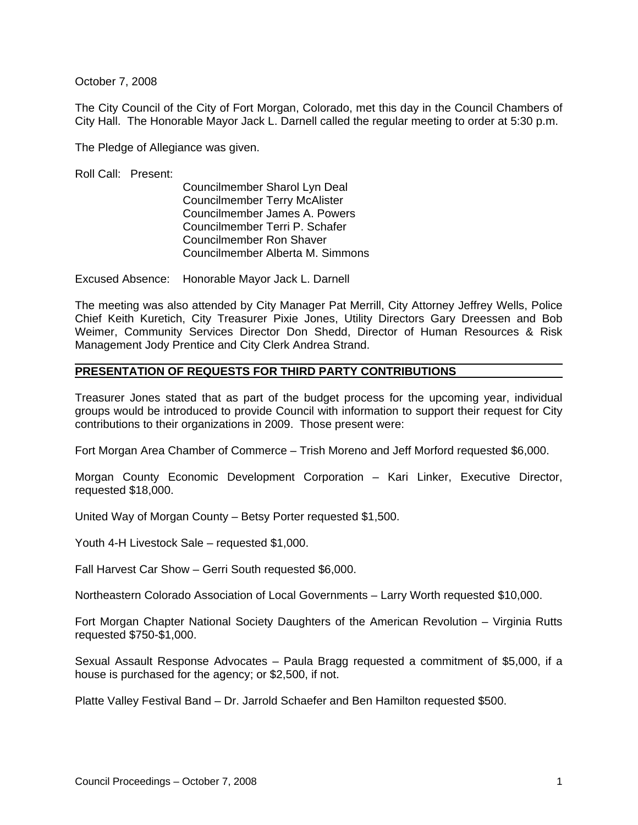October 7, 2008

The City Council of the City of Fort Morgan, Colorado, met this day in the Council Chambers of City Hall. The Honorable Mayor Jack L. Darnell called the regular meeting to order at 5:30 p.m.

The Pledge of Allegiance was given.

Roll Call: Present:

Councilmember Sharol Lyn Deal Councilmember Terry McAlister Councilmember James A. Powers Councilmember Terri P. Schafer Councilmember Ron Shaver Councilmember Alberta M. Simmons

Excused Absence: Honorable Mayor Jack L. Darnell

The meeting was also attended by City Manager Pat Merrill, City Attorney Jeffrey Wells, Police Chief Keith Kuretich, City Treasurer Pixie Jones, Utility Directors Gary Dreessen and Bob Weimer, Community Services Director Don Shedd, Director of Human Resources & Risk Management Jody Prentice and City Clerk Andrea Strand.

# **PRESENTATION OF REQUESTS FOR THIRD PARTY CONTRIBUTIONS**

Treasurer Jones stated that as part of the budget process for the upcoming year, individual groups would be introduced to provide Council with information to support their request for City contributions to their organizations in 2009. Those present were:

Fort Morgan Area Chamber of Commerce – Trish Moreno and Jeff Morford requested \$6,000.

Morgan County Economic Development Corporation – Kari Linker, Executive Director, requested \$18,000.

United Way of Morgan County – Betsy Porter requested \$1,500.

Youth 4-H Livestock Sale – requested \$1,000.

Fall Harvest Car Show – Gerri South requested \$6,000.

Northeastern Colorado Association of Local Governments – Larry Worth requested \$10,000.

Fort Morgan Chapter National Society Daughters of the American Revolution – Virginia Rutts requested \$750-\$1,000.

Sexual Assault Response Advocates – Paula Bragg requested a commitment of \$5,000, if a house is purchased for the agency; or \$2,500, if not.

Platte Valley Festival Band – Dr. Jarrold Schaefer and Ben Hamilton requested \$500.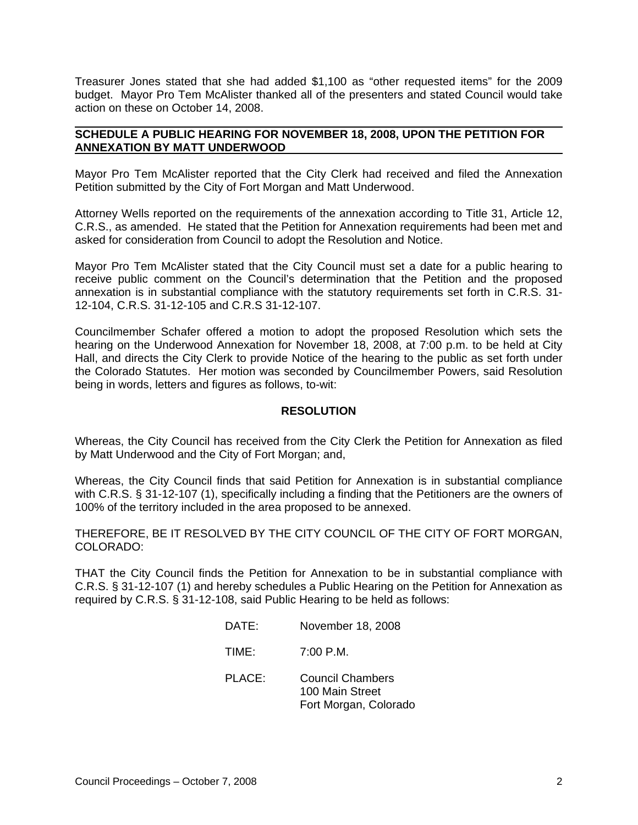Treasurer Jones stated that she had added \$1,100 as "other requested items" for the 2009 budget. Mayor Pro Tem McAlister thanked all of the presenters and stated Council would take action on these on October 14, 2008.

## **SCHEDULE A PUBLIC HEARING FOR NOVEMBER 18, 2008, UPON THE PETITION FOR ANNEXATION BY MATT UNDERWOOD**

Mayor Pro Tem McAlister reported that the City Clerk had received and filed the Annexation Petition submitted by the City of Fort Morgan and Matt Underwood.

Attorney Wells reported on the requirements of the annexation according to Title 31, Article 12, C.R.S., as amended. He stated that the Petition for Annexation requirements had been met and asked for consideration from Council to adopt the Resolution and Notice.

Mayor Pro Tem McAlister stated that the City Council must set a date for a public hearing to receive public comment on the Council's determination that the Petition and the proposed annexation is in substantial compliance with the statutory requirements set forth in C.R.S. 31- 12-104, C.R.S. 31-12-105 and C.R.S 31-12-107.

Councilmember Schafer offered a motion to adopt the proposed Resolution which sets the hearing on the Underwood Annexation for November 18, 2008, at 7:00 p.m. to be held at City Hall, and directs the City Clerk to provide Notice of the hearing to the public as set forth under the Colorado Statutes. Her motion was seconded by Councilmember Powers, said Resolution being in words, letters and figures as follows, to-wit:

## **RESOLUTION**

Whereas, the City Council has received from the City Clerk the Petition for Annexation as filed by Matt Underwood and the City of Fort Morgan; and,

Whereas, the City Council finds that said Petition for Annexation is in substantial compliance with C.R.S. § 31-12-107 (1), specifically including a finding that the Petitioners are the owners of 100% of the territory included in the area proposed to be annexed.

THEREFORE, BE IT RESOLVED BY THE CITY COUNCIL OF THE CITY OF FORT MORGAN, COLORADO:

THAT the City Council finds the Petition for Annexation to be in substantial compliance with C.R.S. § 31-12-107 (1) and hereby schedules a Public Hearing on the Petition for Annexation as required by C.R.S. § 31-12-108, said Public Hearing to be held as follows:

- DATE: November 18, 2008
- TIME: 7:00 P.M.
- PLACE: Council Chambers 100 Main Street Fort Morgan, Colorado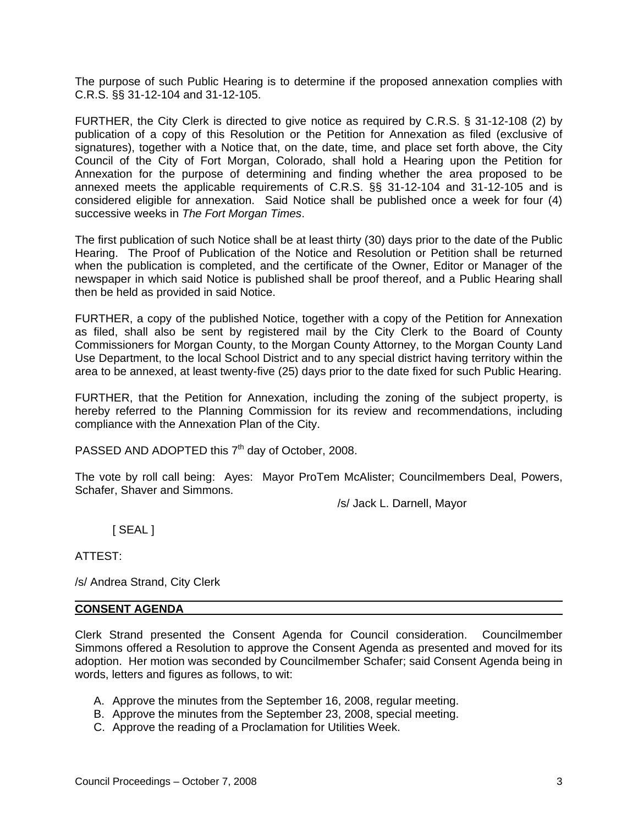The purpose of such Public Hearing is to determine if the proposed annexation complies with C.R.S. §§ 31-12-104 and 31-12-105.

FURTHER, the City Clerk is directed to give notice as required by C.R.S. § 31-12-108 (2) by publication of a copy of this Resolution or the Petition for Annexation as filed (exclusive of signatures), together with a Notice that, on the date, time, and place set forth above, the City Council of the City of Fort Morgan, Colorado, shall hold a Hearing upon the Petition for Annexation for the purpose of determining and finding whether the area proposed to be annexed meets the applicable requirements of C.R.S. §§ 31-12-104 and 31-12-105 and is considered eligible for annexation. Said Notice shall be published once a week for four (4) successive weeks in *The Fort Morgan Times*.

The first publication of such Notice shall be at least thirty (30) days prior to the date of the Public Hearing. The Proof of Publication of the Notice and Resolution or Petition shall be returned when the publication is completed, and the certificate of the Owner, Editor or Manager of the newspaper in which said Notice is published shall be proof thereof, and a Public Hearing shall then be held as provided in said Notice.

FURTHER, a copy of the published Notice, together with a copy of the Petition for Annexation as filed, shall also be sent by registered mail by the City Clerk to the Board of County Commissioners for Morgan County, to the Morgan County Attorney, to the Morgan County Land Use Department, to the local School District and to any special district having territory within the area to be annexed, at least twenty-five (25) days prior to the date fixed for such Public Hearing.

FURTHER, that the Petition for Annexation, including the zoning of the subject property, is hereby referred to the Planning Commission for its review and recommendations, including compliance with the Annexation Plan of the City.

PASSED AND ADOPTED this  $7<sup>th</sup>$  day of October, 2008.

The vote by roll call being: Ayes: Mayor ProTem McAlister; Councilmembers Deal, Powers, Schafer, Shaver and Simmons.

/s/ Jack L. Darnell, Mayor

[ SEAL ]

ATTEST:

/s/ Andrea Strand, City Clerk

#### **CONSENT AGENDA**

Clerk Strand presented the Consent Agenda for Council consideration. Councilmember Simmons offered a Resolution to approve the Consent Agenda as presented and moved for its adoption. Her motion was seconded by Councilmember Schafer; said Consent Agenda being in words, letters and figures as follows, to wit:

- A. Approve the minutes from the September 16, 2008, regular meeting.
- B. Approve the minutes from the September 23, 2008, special meeting.
- C. Approve the reading of a Proclamation for Utilities Week.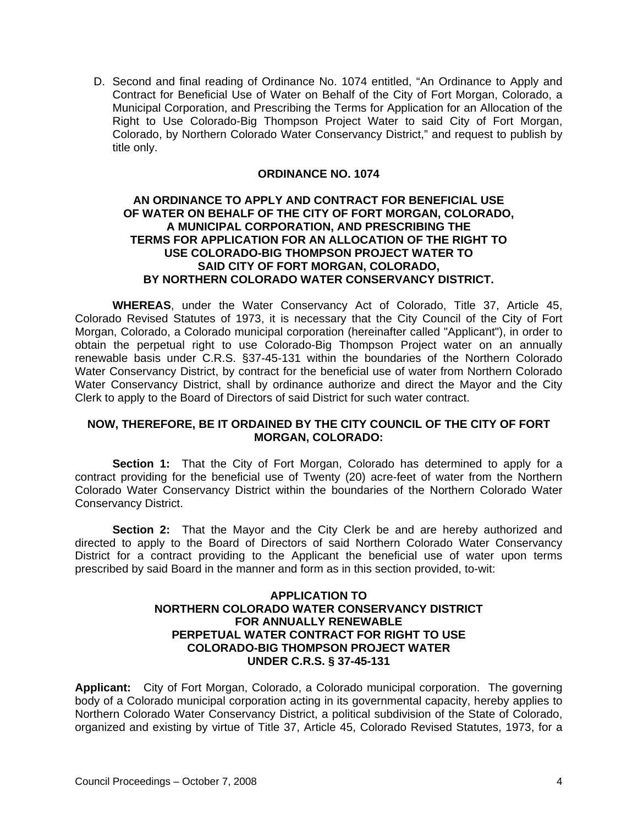D. Second and final reading of Ordinance No. 1074 entitled, "An Ordinance to Apply and Contract for Beneficial Use of Water on Behalf of the City of Fort Morgan, Colorado, a Municipal Corporation, and Prescribing the Terms for Application for an Allocation of the Right to Use Colorado-Big Thompson Project Water to said City of Fort Morgan, Colorado, by Northern Colorado Water Conservancy District," and request to publish by title only.

## **ORDINANCE NO. 1074**

## **AN ORDINANCE TO APPLY AND CONTRACT FOR BENEFICIAL USE OF WATER ON BEHALF OF THE CITY OF FORT MORGAN, COLORADO, A MUNICIPAL CORPORATION, AND PRESCRIBING THE TERMS FOR APPLICATION FOR AN ALLOCATION OF THE RIGHT TO USE COLORADO-BIG THOMPSON PROJECT WATER TO SAID CITY OF FORT MORGAN, COLORADO, BY NORTHERN COLORADO WATER CONSERVANCY DISTRICT.**

**WHEREAS**, under the Water Conservancy Act of Colorado, Title 37, Article 45, Colorado Revised Statutes of 1973, it is necessary that the City Council of the City of Fort Morgan, Colorado, a Colorado municipal corporation (hereinafter called "Applicant"), in order to obtain the perpetual right to use Colorado-Big Thompson Project water on an annually renewable basis under C.R.S. §37-45-131 within the boundaries of the Northern Colorado Water Conservancy District, by contract for the beneficial use of water from Northern Colorado Water Conservancy District, shall by ordinance authorize and direct the Mayor and the City Clerk to apply to the Board of Directors of said District for such water contract.

## **NOW, THEREFORE, BE IT ORDAINED BY THE CITY COUNCIL OF THE CITY OF FORT MORGAN, COLORADO:**

**Section 1:** That the City of Fort Morgan, Colorado has determined to apply for a contract providing for the beneficial use of Twenty (20) acre-feet of water from the Northern Colorado Water Conservancy District within the boundaries of the Northern Colorado Water Conservancy District.

**Section 2:** That the Mayor and the City Clerk be and are hereby authorized and directed to apply to the Board of Directors of said Northern Colorado Water Conservancy District for a contract providing to the Applicant the beneficial use of water upon terms prescribed by said Board in the manner and form as in this section provided, to-wit:

## **APPLICATION TO NORTHERN COLORADO WATER CONSERVANCY DISTRICT FOR ANNUALLY RENEWABLE PERPETUAL WATER CONTRACT FOR RIGHT TO USE COLORADO-BIG THOMPSON PROJECT WATER UNDER C.R.S. § 37-45-131**

**Applicant:** City of Fort Morgan, Colorado, a Colorado municipal corporation. The governing body of a Colorado municipal corporation acting in its governmental capacity, hereby applies to Northern Colorado Water Conservancy District, a political subdivision of the State of Colorado, organized and existing by virtue of Title 37, Article 45, Colorado Revised Statutes, 1973, for a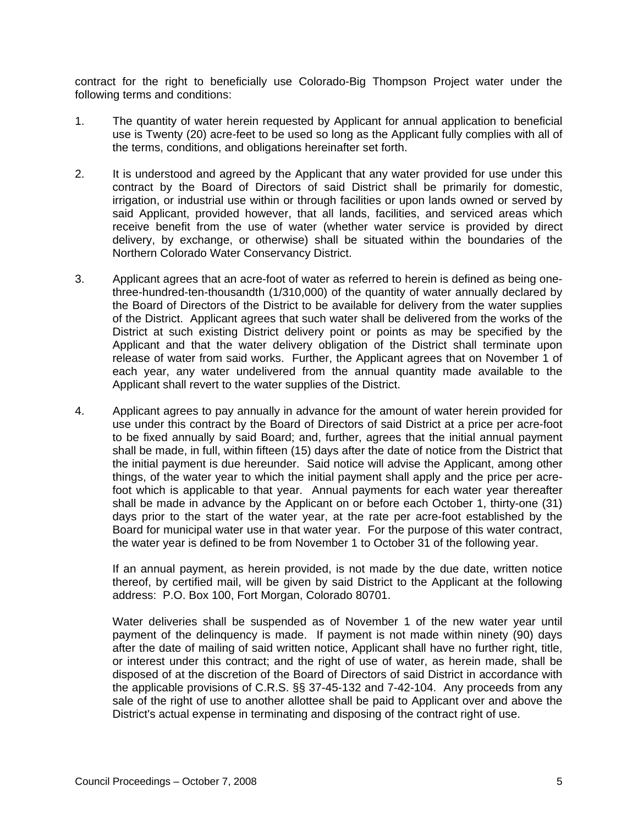contract for the right to beneficially use Colorado-Big Thompson Project water under the following terms and conditions:

- 1. The quantity of water herein requested by Applicant for annual application to beneficial use is Twenty (20) acre-feet to be used so long as the Applicant fully complies with all of the terms, conditions, and obligations hereinafter set forth.
- 2. It is understood and agreed by the Applicant that any water provided for use under this contract by the Board of Directors of said District shall be primarily for domestic, irrigation, or industrial use within or through facilities or upon lands owned or served by said Applicant, provided however, that all lands, facilities, and serviced areas which receive benefit from the use of water (whether water service is provided by direct delivery, by exchange, or otherwise) shall be situated within the boundaries of the Northern Colorado Water Conservancy District.
- 3. Applicant agrees that an acre-foot of water as referred to herein is defined as being onethree-hundred-ten-thousandth (1/310,000) of the quantity of water annually declared by the Board of Directors of the District to be available for delivery from the water supplies of the District. Applicant agrees that such water shall be delivered from the works of the District at such existing District delivery point or points as may be specified by the Applicant and that the water delivery obligation of the District shall terminate upon release of water from said works. Further, the Applicant agrees that on November 1 of each year, any water undelivered from the annual quantity made available to the Applicant shall revert to the water supplies of the District.
- 4. Applicant agrees to pay annually in advance for the amount of water herein provided for use under this contract by the Board of Directors of said District at a price per acre-foot to be fixed annually by said Board; and, further, agrees that the initial annual payment shall be made, in full, within fifteen (15) days after the date of notice from the District that the initial payment is due hereunder. Said notice will advise the Applicant, among other things, of the water year to which the initial payment shall apply and the price per acrefoot which is applicable to that year. Annual payments for each water year thereafter shall be made in advance by the Applicant on or before each October 1, thirty-one (31) days prior to the start of the water year, at the rate per acre-foot established by the Board for municipal water use in that water year. For the purpose of this water contract, the water year is defined to be from November 1 to October 31 of the following year.

If an annual payment, as herein provided, is not made by the due date, written notice thereof, by certified mail, will be given by said District to the Applicant at the following address: P.O. Box 100, Fort Morgan, Colorado 80701.

Water deliveries shall be suspended as of November 1 of the new water year until payment of the delinquency is made. If payment is not made within ninety (90) days after the date of mailing of said written notice, Applicant shall have no further right, title, or interest under this contract; and the right of use of water, as herein made, shall be disposed of at the discretion of the Board of Directors of said District in accordance with the applicable provisions of C.R.S. §§ 37-45-132 and 7-42-104. Any proceeds from any sale of the right of use to another allottee shall be paid to Applicant over and above the District's actual expense in terminating and disposing of the contract right of use.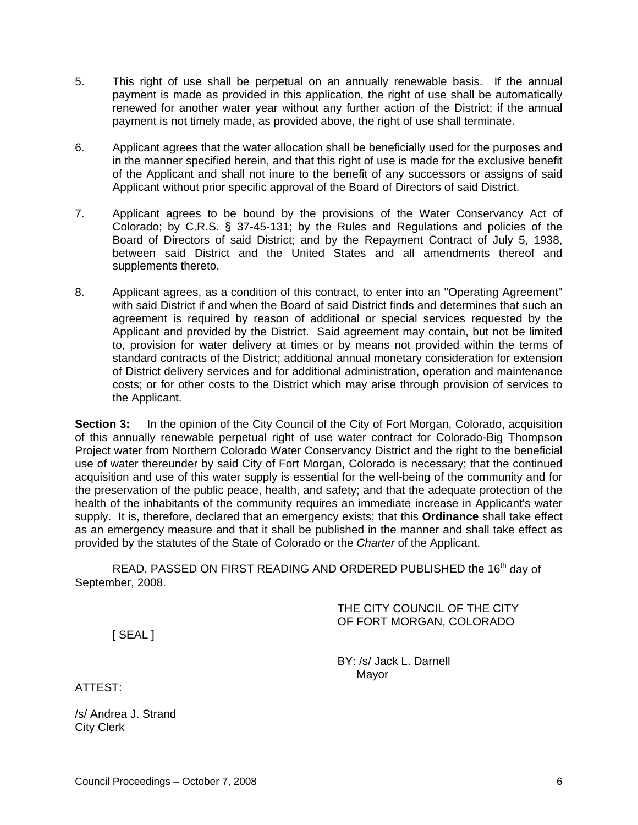- 5. This right of use shall be perpetual on an annually renewable basis. If the annual payment is made as provided in this application, the right of use shall be automatically renewed for another water year without any further action of the District; if the annual payment is not timely made, as provided above, the right of use shall terminate.
- 6. Applicant agrees that the water allocation shall be beneficially used for the purposes and in the manner specified herein, and that this right of use is made for the exclusive benefit of the Applicant and shall not inure to the benefit of any successors or assigns of said Applicant without prior specific approval of the Board of Directors of said District.
- 7. Applicant agrees to be bound by the provisions of the Water Conservancy Act of Colorado; by C.R.S. § 37-45-131; by the Rules and Regulations and policies of the Board of Directors of said District; and by the Repayment Contract of July 5, 1938, between said District and the United States and all amendments thereof and supplements thereto.
- 8. Applicant agrees, as a condition of this contract, to enter into an "Operating Agreement" with said District if and when the Board of said District finds and determines that such an agreement is required by reason of additional or special services requested by the Applicant and provided by the District. Said agreement may contain, but not be limited to, provision for water delivery at times or by means not provided within the terms of standard contracts of the District; additional annual monetary consideration for extension of District delivery services and for additional administration, operation and maintenance costs; or for other costs to the District which may arise through provision of services to the Applicant.

**Section 3:** In the opinion of the City Council of the City of Fort Morgan, Colorado, acquisition of this annually renewable perpetual right of use water contract for Colorado-Big Thompson Project water from Northern Colorado Water Conservancy District and the right to the beneficial use of water thereunder by said City of Fort Morgan, Colorado is necessary; that the continued acquisition and use of this water supply is essential for the well-being of the community and for the preservation of the public peace, health, and safety; and that the adequate protection of the health of the inhabitants of the community requires an immediate increase in Applicant's water supply. It is, therefore, declared that an emergency exists; that this **Ordinance** shall take effect as an emergency measure and that it shall be published in the manner and shall take effect as provided by the statutes of the State of Colorado or the *Charter* of the Applicant.

READ, PASSED ON FIRST READING AND ORDERED PUBLISHED the 16<sup>th</sup> day of September, 2008.

> THE CITY COUNCIL OF THE CITY OF FORT MORGAN, COLORADO

[ SEAL ]

BY: /s/ Jack L. Darnell Mayor

ATTEST:

/s/ Andrea J. Strand City Clerk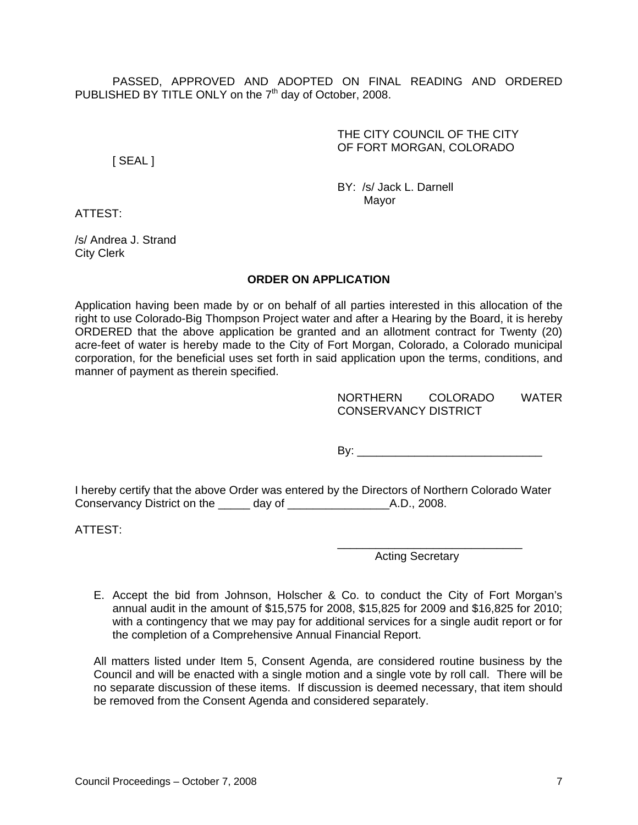PASSED, APPROVED AND ADOPTED ON FINAL READING AND ORDERED PUBLISHED BY TITLE ONLY on the  $7<sup>th</sup>$  day of October, 2008.

## THE CITY COUNCIL OF THE CITY OF FORT MORGAN, COLORADO

[ SEAL ]

BY: /s/ Jack L. Darnell Mayor

ATTEST:

/s/ Andrea J. Strand City Clerk

## **ORDER ON APPLICATION**

Application having been made by or on behalf of all parties interested in this allocation of the right to use Colorado-Big Thompson Project water and after a Hearing by the Board, it is hereby ORDERED that the above application be granted and an allotment contract for Twenty (20) acre-feet of water is hereby made to the City of Fort Morgan, Colorado, a Colorado municipal corporation, for the beneficial uses set forth in said application upon the terms, conditions, and manner of payment as therein specified.

| <b>NORTHERN</b>             | <b>COLORADO</b> | <b>WATFR</b> |
|-----------------------------|-----------------|--------------|
| <b>CONSERVANCY DISTRICT</b> |                 |              |

By: \_\_\_\_\_\_\_\_\_\_\_\_\_\_\_\_\_\_\_\_\_\_\_\_\_\_\_\_\_

I hereby certify that the above Order was entered by the Directors of Northern Colorado Water Conservancy District on the \_\_\_\_\_ day of \_\_\_\_\_\_\_\_\_\_\_\_\_\_\_\_A.D., 2008.

ATTEST:

\_\_\_\_\_\_\_\_\_\_\_\_\_\_\_\_\_\_\_\_\_\_\_\_\_\_\_\_\_ Acting Secretary

E. Accept the bid from Johnson, Holscher & Co. to conduct the City of Fort Morgan's annual audit in the amount of \$15,575 for 2008, \$15,825 for 2009 and \$16,825 for 2010; with a contingency that we may pay for additional services for a single audit report or for the completion of a Comprehensive Annual Financial Report.

All matters listed under Item 5, Consent Agenda, are considered routine business by the Council and will be enacted with a single motion and a single vote by roll call. There will be no separate discussion of these items. If discussion is deemed necessary, that item should be removed from the Consent Agenda and considered separately.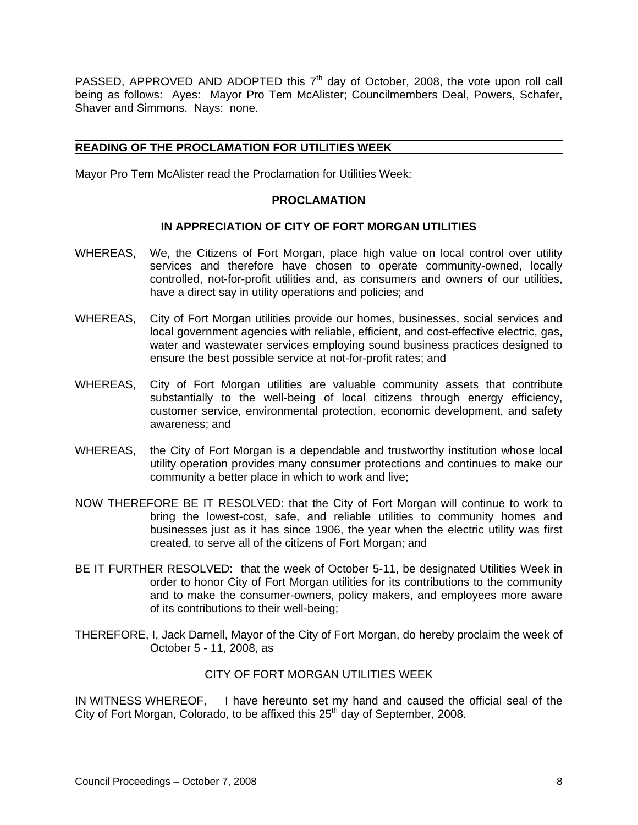PASSED, APPROVED AND ADOPTED this 7<sup>th</sup> day of October, 2008, the vote upon roll call being as follows: Ayes: Mayor Pro Tem McAlister; Councilmembers Deal, Powers, Schafer, Shaver and Simmons. Nays: none.

#### **READING OF THE PROCLAMATION FOR UTILITIES WEEK**

Mayor Pro Tem McAlister read the Proclamation for Utilities Week:

## **PROCLAMATION**

## **IN APPRECIATION OF CITY OF FORT MORGAN UTILITIES**

- WHEREAS, We, the Citizens of Fort Morgan, place high value on local control over utility services and therefore have chosen to operate community-owned, locally controlled, not-for-profit utilities and, as consumers and owners of our utilities, have a direct say in utility operations and policies; and
- WHEREAS, City of Fort Morgan utilities provide our homes, businesses, social services and local government agencies with reliable, efficient, and cost-effective electric, gas, water and wastewater services employing sound business practices designed to ensure the best possible service at not-for-profit rates; and
- WHEREAS, City of Fort Morgan utilities are valuable community assets that contribute substantially to the well-being of local citizens through energy efficiency, customer service, environmental protection, economic development, and safety awareness; and
- WHEREAS, the City of Fort Morgan is a dependable and trustworthy institution whose local utility operation provides many consumer protections and continues to make our community a better place in which to work and live;
- NOW THEREFORE BE IT RESOLVED: that the City of Fort Morgan will continue to work to bring the lowest-cost, safe, and reliable utilities to community homes and businesses just as it has since 1906, the year when the electric utility was first created, to serve all of the citizens of Fort Morgan; and
- BE IT FURTHER RESOLVED: that the week of October 5-11, be designated Utilities Week in order to honor City of Fort Morgan utilities for its contributions to the community and to make the consumer-owners, policy makers, and employees more aware of its contributions to their well-being;
- THEREFORE, I, Jack Darnell, Mayor of the City of Fort Morgan, do hereby proclaim the week of October 5 - 11, 2008, as

#### CITY OF FORT MORGAN UTILITIES WEEK

IN WITNESS WHEREOF, I have hereunto set my hand and caused the official seal of the City of Fort Morgan, Colorado, to be affixed this  $25<sup>th</sup>$  day of September, 2008.